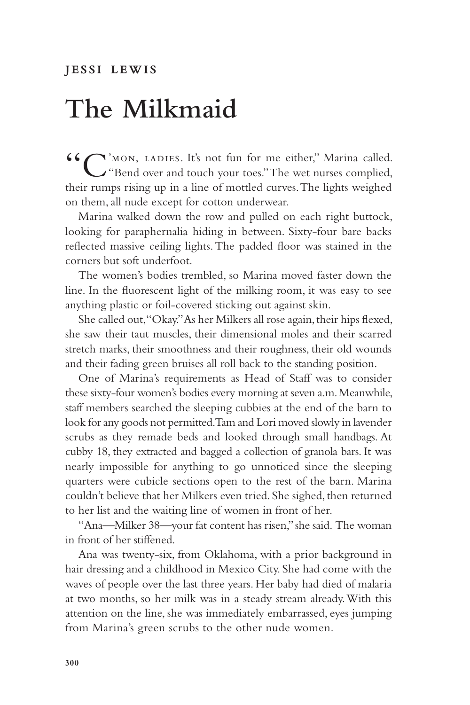## **The Milkmaid**

"C'mon, ladies. It's not fun for me either," Marina called. "Bend over and touch your toes." The wet nurses complied, their rumps rising up in a line of mottled curves. The lights weighed on them, all nude except for cotton underwear.

Marina walked down the row and pulled on each right buttock, looking for paraphernalia hiding in between. Sixty-four bare backs reflected massive ceiling lights. The padded floor was stained in the corners but soft underfoot.

The women's bodies trembled, so Marina moved faster down the line. In the fluorescent light of the milking room, it was easy to see anything plastic or foil-covered sticking out against skin.

She called out, "Okay." As her Milkers all rose again, their hips flexed, she saw their taut muscles, their dimensional moles and their scarred stretch marks, their smoothness and their roughness, their old wounds and their fading green bruises all roll back to the standing position.

One of Marina's requirements as Head of Staff was to consider these sixty-four women's bodies every morning at seven a.m. Meanwhile, staff members searched the sleeping cubbies at the end of the barn to look for any goods not permitted. Tam and Lori moved slowly in lavender scrubs as they remade beds and looked through small handbags. At cubby 18, they extracted and bagged a collection of granola bars. It was nearly impossible for anything to go unnoticed since the sleeping quarters were cubicle sections open to the rest of the barn. Marina couldn't believe that her Milkers even tried. She sighed, then returned to her list and the waiting line of women in front of her.

"Ana—Milker 38—your fat content has risen," she said. The woman in front of her stiffened.

Ana was twenty-six, from Oklahoma, with a prior background in hair dressing and a childhood in Mexico City. She had come with the waves of people over the last three years. Her baby had died of malaria at two months, so her milk was in a steady stream already. With this attention on the line, she was immediately embarrassed, eyes jumping from Marina's green scrubs to the other nude women.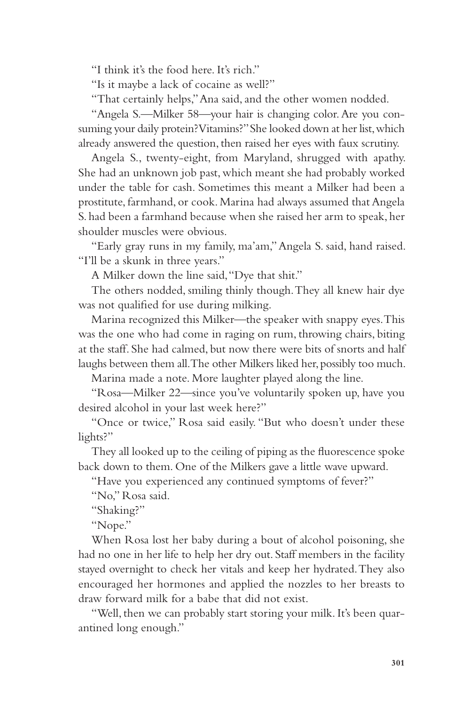"I think it's the food here. It's rich."

"Is it maybe a lack of cocaine as well?"

"That certainly helps," Ana said, and the other women nodded.

"Angela S.—Milker 58—your hair is changing color. Are you consuming your daily protein? Vitamins?" She looked down at her list, which already answered the question, then raised her eyes with faux scrutiny.

Angela S., twenty-eight, from Maryland, shrugged with apathy. She had an unknown job past, which meant she had probably worked under the table for cash. Sometimes this meant a Milker had been a prostitute, farmhand, or cook. Marina had always assumed that Angela S. had been a farmhand because when she raised her arm to speak, her shoulder muscles were obvious.

"Early gray runs in my family, ma'am," Angela S. said, hand raised. "I'll be a skunk in three years."

A Milker down the line said, "Dye that shit."

The others nodded, smiling thinly though. They all knew hair dye was not qualified for use during milking.

Marina recognized this Milker—the speaker with snappy eyes. This was the one who had come in raging on rum, throwing chairs, biting at the staff. She had calmed, but now there were bits of snorts and half laughs between them all. The other Milkers liked her, possibly too much.

Marina made a note. More laughter played along the line.

"Rosa—Milker 22—since you've voluntarily spoken up, have you desired alcohol in your last week here?"

"Once or twice," Rosa said easily. "But who doesn't under these lights?"

They all looked up to the ceiling of piping as the fluorescence spoke back down to them. One of the Milkers gave a little wave upward.

"Have you experienced any continued symptoms of fever?"

"No," Rosa said.

"Shaking?"

"Nope."

When Rosa lost her baby during a bout of alcohol poisoning, she had no one in her life to help her dry out. Staff members in the facility stayed overnight to check her vitals and keep her hydrated. They also encouraged her hormones and applied the nozzles to her breasts to draw forward milk for a babe that did not exist.

"Well, then we can probably start storing your milk. It's been quarantined long enough."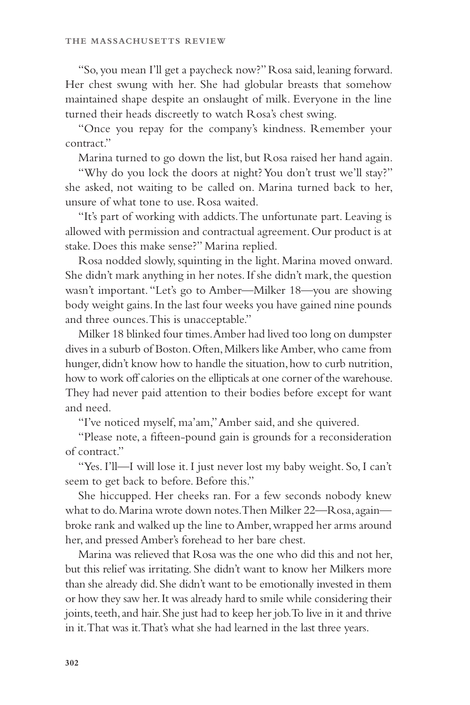"So, you mean I'll get a paycheck now?" Rosa said, leaning forward. Her chest swung with her. She had globular breasts that somehow maintained shape despite an onslaught of milk. Everyone in the line turned their heads discreetly to watch Rosa's chest swing.

"Once you repay for the company's kindness. Remember your contract."

Marina turned to go down the list, but Rosa raised her hand again.

"Why do you lock the doors at night? You don't trust we'll stay?" she asked, not waiting to be called on. Marina turned back to her, unsure of what tone to use. Rosa waited.

"It's part of working with addicts. The unfortunate part. Leaving is allowed with permission and contractual agreement. Our product is at stake. Does this make sense?" Marina replied.

Rosa nodded slowly, squinting in the light. Marina moved onward. She didn't mark anything in her notes. If she didn't mark, the question wasn't important. "Let's go to Amber—Milker 18—you are showing body weight gains. In the last four weeks you have gained nine pounds and three ounces. This is unacceptable."

Milker 18 blinked four times. Amber had lived too long on dumpster dives in a suburb of Boston. Often, Milkers like Amber, who came from hunger, didn't know how to handle the situation, how to curb nutrition, how to work off calories on the ellipticals at one corner of the warehouse. They had never paid attention to their bodies before except for want and need.

"I've noticed myself, ma'am," Amber said, and she quivered.

"Please note, a fifteen-pound gain is grounds for a reconsideration of contract."

"Yes. I'll—I will lose it. I just never lost my baby weight. So, I can't seem to get back to before. Before this."

She hiccupped. Her cheeks ran. For a few seconds nobody knew what to do. Marina wrote down notes. Then Milker 22—Rosa, again broke rank and walked up the line to Amber, wrapped her arms around her, and pressed Amber's forehead to her bare chest.

Marina was relieved that Rosa was the one who did this and not her, but this relief was irritating. She didn't want to know her Milkers more than she already did. She didn't want to be emotionally invested in them or how they saw her. It was already hard to smile while considering their joints, teeth, and hair. She just had to keep her job. To live in it and thrive in it. That was it. That's what she had learned in the last three years.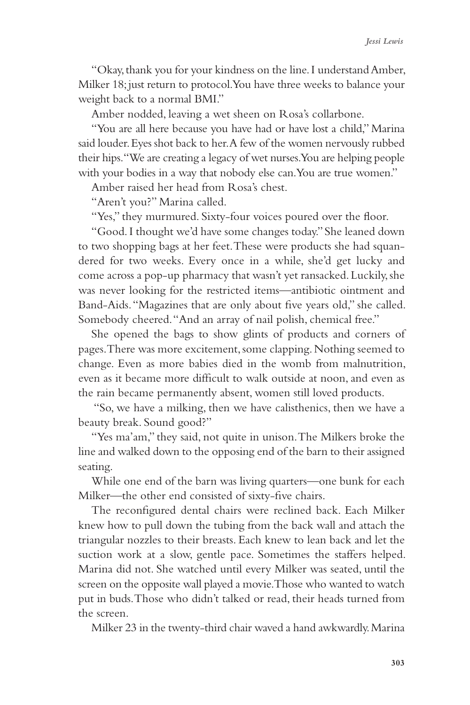"Okay, thank you for your kindness on the line. I understand Amber, Milker 18; just return to protocol. You have three weeks to balance your weight back to a normal BMI."

Amber nodded, leaving a wet sheen on Rosa's collarbone.

"You are all here because you have had or have lost a child," Marina said louder. Eyes shot back to her. A few of the women nervously rubbed their hips. "We are creating a legacy of wet nurses. You are helping people with your bodies in a way that nobody else can. You are true women."

Amber raised her head from Rosa's chest.

"Aren't you?" Marina called.

"Yes," they murmured. Sixty-four voices poured over the floor.

"Good. I thought we'd have some changes today." She leaned down to two shopping bags at her feet. These were products she had squandered for two weeks. Every once in a while, she'd get lucky and come across a pop-up pharmacy that wasn't yet ransacked. Luckily, she was never looking for the restricted items—antibiotic ointment and Band-Aids. "Magazines that are only about five years old," she called. Somebody cheered. "And an array of nail polish, chemical free."

She opened the bags to show glints of products and corners of pages. There was more excitement, some clapping. Nothing seemed to change. Even as more babies died in the womb from malnutrition, even as it became more difficult to walk outside at noon, and even as the rain became permanently absent, women still loved products.

 "So, we have a milking, then we have calisthenics, then we have a beauty break. Sound good?"

"Yes ma'am," they said, not quite in unison. The Milkers broke the line and walked down to the opposing end of the barn to their assigned seating.

While one end of the barn was living quarters—one bunk for each Milker—the other end consisted of sixty-five chairs.

The reconfigured dental chairs were reclined back. Each Milker knew how to pull down the tubing from the back wall and attach the triangular nozzles to their breasts. Each knew to lean back and let the suction work at a slow, gentle pace. Sometimes the staffers helped. Marina did not. She watched until every Milker was seated, until the screen on the opposite wall played a movie. Those who wanted to watch put in buds. Those who didn't talked or read, their heads turned from the screen.

Milker 23 in the twenty-third chair waved a hand awkwardly. Marina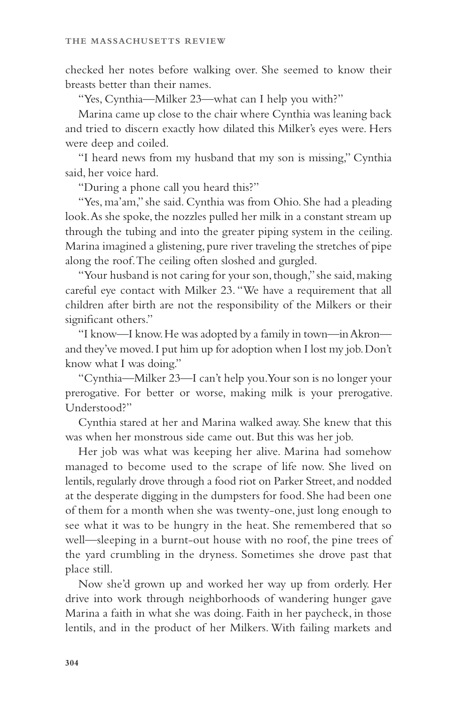checked her notes before walking over. She seemed to know their breasts better than their names.

"Yes, Cynthia—Milker 23—what can I help you with?"

Marina came up close to the chair where Cynthia was leaning back and tried to discern exactly how dilated this Milker's eyes were. Hers were deep and coiled.

"I heard news from my husband that my son is missing," Cynthia said, her voice hard.

"During a phone call you heard this?"

"Yes, ma'am," she said. Cynthia was from Ohio. She had a pleading look. As she spoke, the nozzles pulled her milk in a constant stream up through the tubing and into the greater piping system in the ceiling. Marina imagined a glistening, pure river traveling the stretches of pipe along the roof. The ceiling often sloshed and gurgled.

"Your husband is not caring for your son, though," she said, making careful eye contact with Milker 23. "We have a requirement that all children after birth are not the responsibility of the Milkers or their significant others."

"I know—I know. He was adopted by a family in town—in Akron and they've moved. I put him up for adoption when I lost my job. Don't know what I was doing."

"Cynthia—Milker 23—I can't help you. Your son is no longer your prerogative. For better or worse, making milk is your prerogative. Understood?"

Cynthia stared at her and Marina walked away. She knew that this was when her monstrous side came out. But this was her job.

Her job was what was keeping her alive. Marina had somehow managed to become used to the scrape of life now. She lived on lentils, regularly drove through a food riot on Parker Street, and nodded at the desperate digging in the dumpsters for food. She had been one of them for a month when she was twenty-one, just long enough to see what it was to be hungry in the heat. She remembered that so well—sleeping in a burnt-out house with no roof, the pine trees of the yard crumbling in the dryness. Sometimes she drove past that place still.

Now she'd grown up and worked her way up from orderly. Her drive into work through neighborhoods of wandering hunger gave Marina a faith in what she was doing. Faith in her paycheck, in those lentils, and in the product of her Milkers. With failing markets and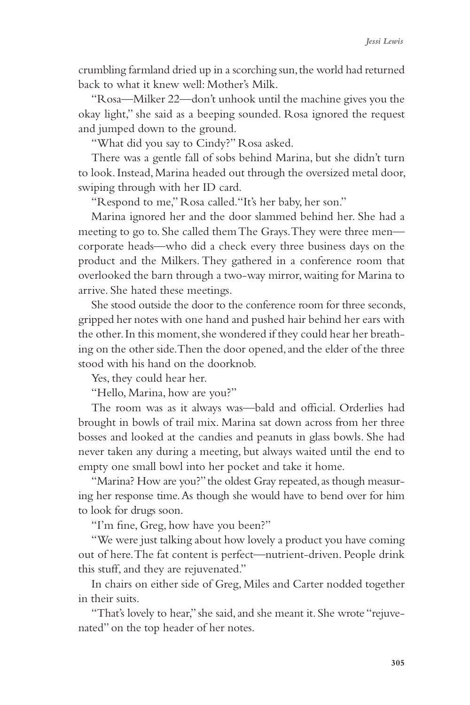crumbling farmland dried up in a scorching sun, the world had returned back to what it knew well: Mother's Milk.

"Rosa—Milker 22—don't unhook until the machine gives you the okay light," she said as a beeping sounded. Rosa ignored the request and jumped down to the ground.

"What did you say to Cindy?" Rosa asked.

There was a gentle fall of sobs behind Marina, but she didn't turn to look. Instead, Marina headed out through the oversized metal door, swiping through with her ID card.

"Respond to me," Rosa called."It's her baby, her son."

Marina ignored her and the door slammed behind her. She had a meeting to go to. She called them The Grays. They were three men corporate heads—who did a check every three business days on the product and the Milkers. They gathered in a conference room that overlooked the barn through a two-way mirror, waiting for Marina to arrive. She hated these meetings.

She stood outside the door to the conference room for three seconds, gripped her notes with one hand and pushed hair behind her ears with the other. In this moment, she wondered if they could hear her breathing on the other side. Then the door opened, and the elder of the three stood with his hand on the doorknob.

Yes, they could hear her.

"Hello, Marina, how are you?"

The room was as it always was—bald and official. Orderlies had brought in bowls of trail mix. Marina sat down across from her three bosses and looked at the candies and peanuts in glass bowls. She had never taken any during a meeting, but always waited until the end to empty one small bowl into her pocket and take it home.

"Marina? How are you?" the oldest Gray repeated, as though measuring her response time. As though she would have to bend over for him to look for drugs soon.

"I'm fine, Greg, how have you been?"

"We were just talking about how lovely a product you have coming out of here. The fat content is perfect—nutrient-driven. People drink this stuff, and they are rejuvenated."

In chairs on either side of Greg, Miles and Carter nodded together in their suits.

"That's lovely to hear," she said, and she meant it. She wrote "rejuvenated" on the top header of her notes.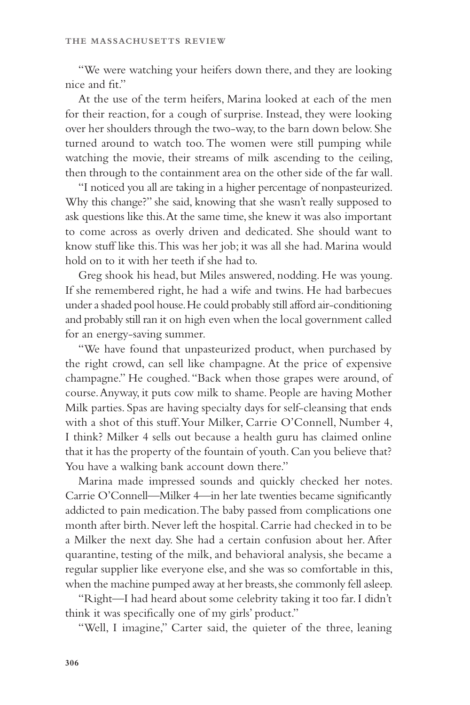"We were watching your heifers down there, and they are looking nice and fit."

At the use of the term heifers, Marina looked at each of the men for their reaction, for a cough of surprise. Instead, they were looking over her shoulders through the two-way, to the barn down below. She turned around to watch too. The women were still pumping while watching the movie, their streams of milk ascending to the ceiling, then through to the containment area on the other side of the far wall.

"I noticed you all are taking in a higher percentage of nonpasteurized. Why this change?" she said, knowing that she wasn't really supposed to ask questions like this. At the same time, she knew it was also important to come across as overly driven and dedicated. She should want to know stuff like this. This was her job; it was all she had. Marina would hold on to it with her teeth if she had to.

Greg shook his head, but Miles answered, nodding. He was young. If she remembered right, he had a wife and twins. He had barbecues under a shaded pool house. He could probably still afford air-conditioning and probably still ran it on high even when the local government called for an energy-saving summer.

"We have found that unpasteurized product, when purchased by the right crowd, can sell like champagne. At the price of expensive champagne." He coughed. "Back when those grapes were around, of course. Anyway, it puts cow milk to shame. People are having Mother Milk parties. Spas are having specialty days for self-cleansing that ends with a shot of this stuff. Your Milker, Carrie O'Connell, Number 4, I think? Milker 4 sells out because a health guru has claimed online that it has the property of the fountain of youth. Can you believe that? You have a walking bank account down there."

Marina made impressed sounds and quickly checked her notes. Carrie O'Connell—Milker 4—in her late twenties became significantly addicted to pain medication. The baby passed from complications one month after birth. Never left the hospital. Carrie had checked in to be a Milker the next day. She had a certain confusion about her. After quarantine, testing of the milk, and behavioral analysis, she became a regular supplier like everyone else, and she was so comfortable in this, when the machine pumped away at her breasts, she commonly fell asleep.

"Right—I had heard about some celebrity taking it too far. I didn't think it was specifically one of my girls' product."

"Well, I imagine," Carter said, the quieter of the three, leaning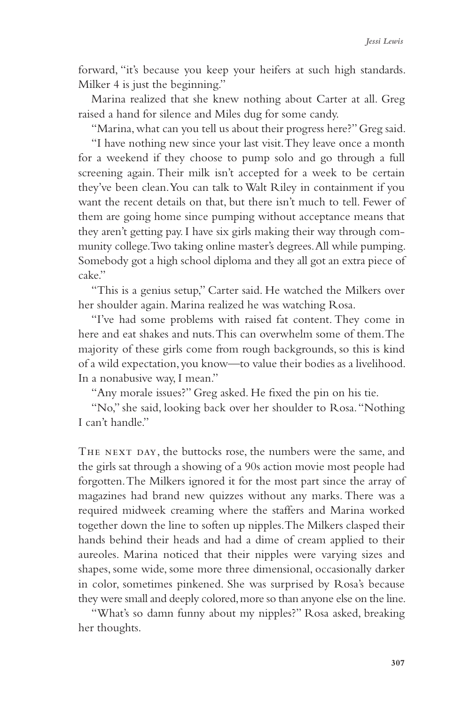forward, "it's because you keep your heifers at such high standards. Milker 4 is just the beginning."

Marina realized that she knew nothing about Carter at all. Greg raised a hand for silence and Miles dug for some candy.

"Marina, what can you tell us about their progress here?" Greg said. "I have nothing new since your last visit. They leave once a month for a weekend if they choose to pump solo and go through a full screening again. Their milk isn't accepted for a week to be certain they've been clean. You can talk to Walt Riley in containment if you want the recent details on that, but there isn't much to tell. Fewer of them are going home since pumping without acceptance means that they aren't getting pay. I have six girls making their way through community college. Two taking online master's degrees. All while pumping. Somebody got a high school diploma and they all got an extra piece of cake."

"This is a genius setup," Carter said. He watched the Milkers over her shoulder again. Marina realized he was watching Rosa.

"I've had some problems with raised fat content. They come in here and eat shakes and nuts. This can overwhelm some of them. The majority of these girls come from rough backgrounds, so this is kind of a wild expectation, you know—to value their bodies as a livelihood. In a nonabusive way, I mean."

"Any morale issues?" Greg asked. He fixed the pin on his tie.

"No," she said, looking back over her shoulder to Rosa. "Nothing I can't handle."

THE NEXT DAY, the buttocks rose, the numbers were the same, and the girls sat through a showing of a 90s action movie most people had forgotten. The Milkers ignored it for the most part since the array of magazines had brand new quizzes without any marks. There was a required midweek creaming where the staffers and Marina worked together down the line to soften up nipples. The Milkers clasped their hands behind their heads and had a dime of cream applied to their aureoles. Marina noticed that their nipples were varying sizes and shapes, some wide, some more three dimensional, occasionally darker in color, sometimes pinkened. She was surprised by Rosa's because they were small and deeply colored, more so than anyone else on the line.

"What's so damn funny about my nipples?" Rosa asked, breaking her thoughts.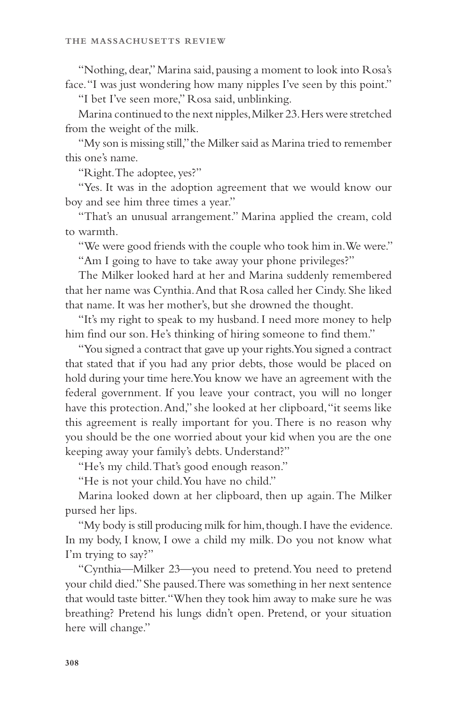"Nothing, dear," Marina said, pausing a moment to look into Rosa's face. "I was just wondering how many nipples I've seen by this point."

"I bet I've seen more," Rosa said, unblinking.

Marina continued to the next nipples, Milker 23. Hers were stretched from the weight of the milk.

"My son is missing still," the Milker said as Marina tried to remember this one's name.

"Right. The adoptee, yes?"

"Yes. It was in the adoption agreement that we would know our boy and see him three times a year."

"That's an unusual arrangement." Marina applied the cream, cold to warmth.

"We were good friends with the couple who took him in. We were." "Am I going to have to take away your phone privileges?"

The Milker looked hard at her and Marina suddenly remembered that her name was Cynthia. And that Rosa called her Cindy. She liked that name. It was her mother's, but she drowned the thought.

"It's my right to speak to my husband. I need more money to help him find our son. He's thinking of hiring someone to find them."

"You signed a contract that gave up your rights. You signed a contract that stated that if you had any prior debts, those would be placed on hold during your time here. You know we have an agreement with the federal government. If you leave your contract, you will no longer have this protection. And," she looked at her clipboard, "it seems like this agreement is really important for you. There is no reason why you should be the one worried about your kid when you are the one keeping away your family's debts. Understand?"

"He's my child. That's good enough reason."

"He is not your child. You have no child."

Marina looked down at her clipboard, then up again. The Milker pursed her lips.

"My body is still producing milk for him, though. I have the evidence. In my body, I know, I owe a child my milk. Do you not know what I'm trying to say?"

"Cynthia—Milker 23—you need to pretend. You need to pretend your child died." She paused. There was something in her next sentence that would taste bitter. "When they took him away to make sure he was breathing? Pretend his lungs didn't open. Pretend, or your situation here will change."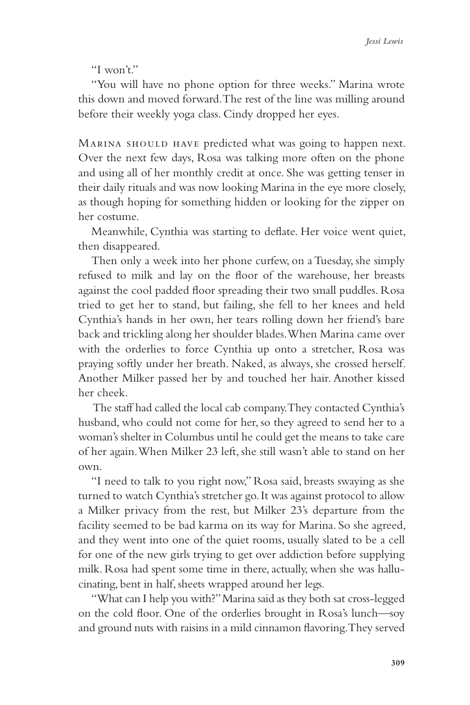"I won't."

"You will have no phone option for three weeks." Marina wrote this down and moved forward. The rest of the line was milling around before their weekly yoga class. Cindy dropped her eyes.

MARINA SHOULD HAVE predicted what was going to happen next. Over the next few days, Rosa was talking more often on the phone and using all of her monthly credit at once. She was getting tenser in their daily rituals and was now looking Marina in the eye more closely, as though hoping for something hidden or looking for the zipper on her costume.

Meanwhile, Cynthia was starting to deflate. Her voice went quiet, then disappeared.

Then only a week into her phone curfew, on a Tuesday, she simply refused to milk and lay on the floor of the warehouse, her breasts against the cool padded floor spreading their two small puddles. Rosa tried to get her to stand, but failing, she fell to her knees and held Cynthia's hands in her own, her tears rolling down her friend's bare back and trickling along her shoulder blades. When Marina came over with the orderlies to force Cynthia up onto a stretcher, Rosa was praying softly under her breath. Naked, as always, she crossed herself. Another Milker passed her by and touched her hair. Another kissed her cheek.

 The staff had called the local cab company. They contacted Cynthia's husband, who could not come for her, so they agreed to send her to a woman's shelter in Columbus until he could get the means to take care of her again. When Milker 23 left, she still wasn't able to stand on her own.

"I need to talk to you right now," Rosa said, breasts swaying as she turned to watch Cynthia's stretcher go. It was against protocol to allow a Milker privacy from the rest, but Milker 23's departure from the facility seemed to be bad karma on its way for Marina. So she agreed, and they went into one of the quiet rooms, usually slated to be a cell for one of the new girls trying to get over addiction before supplying milk. Rosa had spent some time in there, actually, when she was hallucinating, bent in half, sheets wrapped around her legs.

"What can I help you with?" Marina said as they both sat cross-legged on the cold floor. One of the orderlies brought in Rosa's lunch—soy and ground nuts with raisins in a mild cinnamon flavoring. They served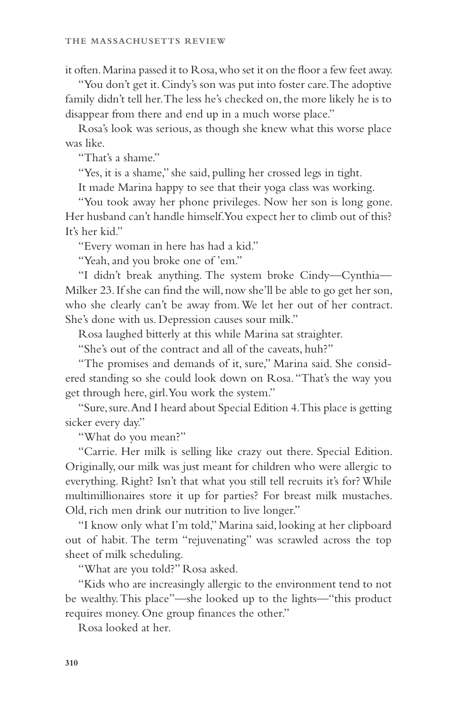it often. Marina passed it to Rosa, who set it on the floor a few feet away.

"You don't get it. Cindy's son was put into foster care. The adoptive family didn't tell her. The less he's checked on, the more likely he is to disappear from there and end up in a much worse place."

Rosa's look was serious, as though she knew what this worse place was like.

"That's a shame."

"Yes, it is a shame," she said, pulling her crossed legs in tight.

It made Marina happy to see that their yoga class was working.

"You took away her phone privileges. Now her son is long gone. Her husband can't handle himself. You expect her to climb out of this? It's her kid."

"Every woman in here has had a kid."

"Yeah, and you broke one of 'em."

"I didn't break anything. The system broke Cindy—Cynthia— Milker 23. If she can find the will, now she'll be able to go get her son, who she clearly can't be away from. We let her out of her contract. She's done with us. Depression causes sour milk."

Rosa laughed bitterly at this while Marina sat straighter.

"She's out of the contract and all of the caveats, huh?"

"The promises and demands of it, sure," Marina said. She considered standing so she could look down on Rosa. "That's the way you get through here, girl. You work the system."

"Sure, sure. And I heard about Special Edition 4. This place is getting sicker every day."

"What do you mean?"

"Carrie. Her milk is selling like crazy out there. Special Edition. Originally, our milk was just meant for children who were allergic to everything. Right? Isn't that what you still tell recruits it's for? While multimillionaires store it up for parties? For breast milk mustaches. Old, rich men drink our nutrition to live longer."

"I know only what I'm told," Marina said, looking at her clipboard out of habit. The term "rejuvenating" was scrawled across the top sheet of milk scheduling.

"What are you told?" Rosa asked.

"Kids who are increasingly allergic to the environment tend to not be wealthy. This place"—she looked up to the lights—"this product requires money. One group finances the other."

Rosa looked at her.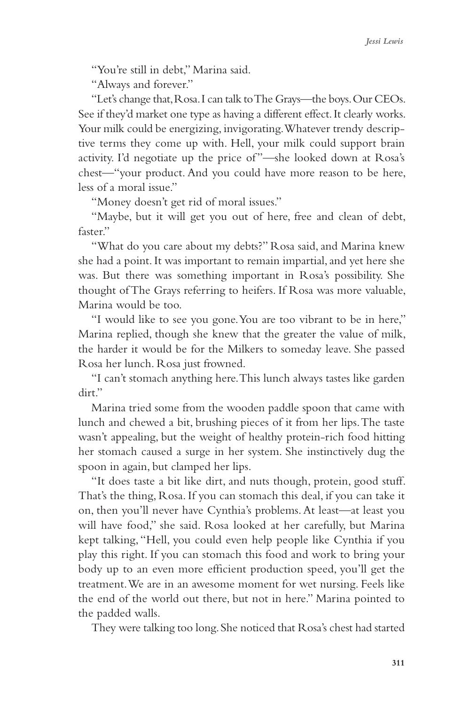"You're still in debt," Marina said.

"Always and forever."

"Let's change that, Rosa. I can talk to The Grays—the boys. Our CEOs. See if they'd market one type as having a different effect. It clearly works. Your milk could be energizing, invigorating. Whatever trendy descriptive terms they come up with. Hell, your milk could support brain activity. I'd negotiate up the price of"—she looked down at Rosa's chest—"your product. And you could have more reason to be here, less of a moral issue."

"Money doesn't get rid of moral issues."

"Maybe, but it will get you out of here, free and clean of debt, faster."

"What do you care about my debts?" Rosa said, and Marina knew she had a point. It was important to remain impartial, and yet here she was. But there was something important in Rosa's possibility. She thought of The Grays referring to heifers. If Rosa was more valuable, Marina would be too.

"I would like to see you gone. You are too vibrant to be in here," Marina replied, though she knew that the greater the value of milk, the harder it would be for the Milkers to someday leave. She passed Rosa her lunch. Rosa just frowned.

"I can't stomach anything here. This lunch always tastes like garden dirt."

Marina tried some from the wooden paddle spoon that came with lunch and chewed a bit, brushing pieces of it from her lips. The taste wasn't appealing, but the weight of healthy protein-rich food hitting her stomach caused a surge in her system. She instinctively dug the spoon in again, but clamped her lips.

"It does taste a bit like dirt, and nuts though, protein, good stuff. That's the thing, Rosa. If you can stomach this deal, if you can take it on, then you'll never have Cynthia's problems. At least—at least you will have food," she said. Rosa looked at her carefully, but Marina kept talking, "Hell, you could even help people like Cynthia if you play this right. If you can stomach this food and work to bring your body up to an even more efficient production speed, you'll get the treatment. We are in an awesome moment for wet nursing. Feels like the end of the world out there, but not in here." Marina pointed to the padded walls.

They were talking too long. She noticed that Rosa's chest had started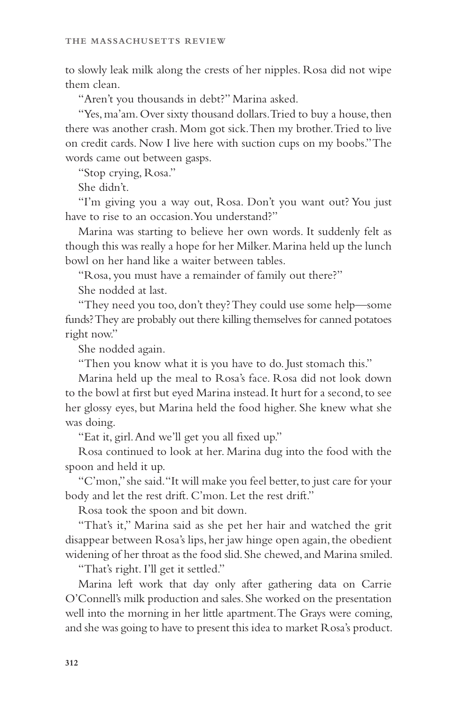to slowly leak milk along the crests of her nipples. Rosa did not wipe them clean.

"Aren't you thousands in debt?" Marina asked.

"Yes, ma'am. Over sixty thousand dollars. Tried to buy a house, then there was another crash. Mom got sick. Then my brother. Tried to live on credit cards. Now I live here with suction cups on my boobs." The words came out between gasps.

"Stop crying, Rosa."

She didn't.

"I'm giving you a way out, Rosa. Don't you want out? You just have to rise to an occasion. You understand?"

Marina was starting to believe her own words. It suddenly felt as though this was really a hope for her Milker. Marina held up the lunch bowl on her hand like a waiter between tables.

"Rosa, you must have a remainder of family out there?"

She nodded at last.

"They need you too, don't they? They could use some help—some funds? They are probably out there killing themselves for canned potatoes right now."

She nodded again.

"Then you know what it is you have to do. Just stomach this."

Marina held up the meal to Rosa's face. Rosa did not look down to the bowl at first but eyed Marina instead. It hurt for a second, to see her glossy eyes, but Marina held the food higher. She knew what she was doing.

"Eat it, girl. And we'll get you all fixed up."

Rosa continued to look at her. Marina dug into the food with the spoon and held it up.

"C'mon," she said. "It will make you feel better, to just care for your body and let the rest drift. C'mon. Let the rest drift."

Rosa took the spoon and bit down.

"That's it," Marina said as she pet her hair and watched the grit disappear between Rosa's lips, her jaw hinge open again, the obedient widening of her throat as the food slid. She chewed, and Marina smiled.

"That's right. I'll get it settled."

Marina left work that day only after gathering data on Carrie O'Connell's milk production and sales. She worked on the presentation well into the morning in her little apartment. The Grays were coming, and she was going to have to present this idea to market Rosa's product.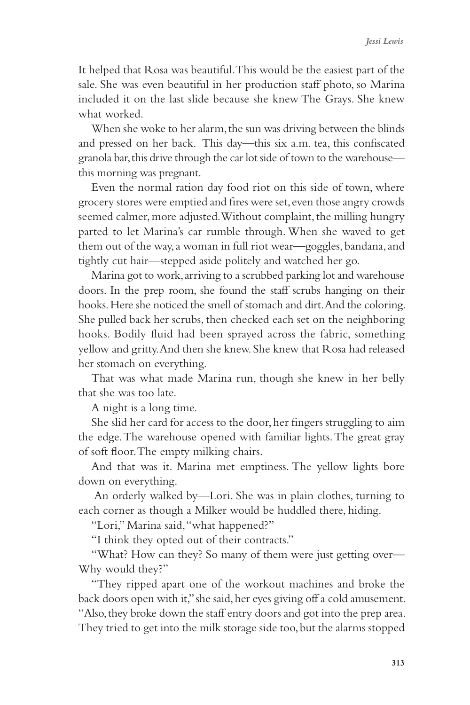It helped that Rosa was beautiful. This would be the easiest part of the sale. She was even beautiful in her production staff photo, so Marina included it on the last slide because she knew The Grays. She knew what worked.

When she woke to her alarm, the sun was driving between the blinds and pressed on her back. This day—this six a.m. tea, this confiscated granola bar, this drive through the car lot side of town to the warehouse this morning was pregnant.

Even the normal ration day food riot on this side of town, where grocery stores were emptied and fires were set, even those angry crowds seemed calmer, more adjusted. Without complaint, the milling hungry parted to let Marina's car rumble through. When she waved to get them out of the way, a woman in full riot wear—goggles, bandana, and tightly cut hair—stepped aside politely and watched her go.

Marina got to work, arriving to a scrubbed parking lot and warehouse doors. In the prep room, she found the staff scrubs hanging on their hooks. Here she noticed the smell of stomach and dirt. And the coloring. She pulled back her scrubs, then checked each set on the neighboring hooks. Bodily fluid had been sprayed across the fabric, something yellow and gritty. And then she knew. She knew that Rosa had released her stomach on everything.

That was what made Marina run, though she knew in her belly that she was too late.

A night is a long time.

She slid her card for access to the door, her fingers struggling to aim the edge. The warehouse opened with familiar lights. The great gray of soft floor. The empty milking chairs.

And that was it. Marina met emptiness. The yellow lights bore down on everything.

 An orderly walked by—Lori. She was in plain clothes, turning to each corner as though a Milker would be huddled there, hiding.

"Lori," Marina said, "what happened?"

"I think they opted out of their contracts."

"What? How can they? So many of them were just getting over— Why would they?"

"They ripped apart one of the workout machines and broke the back doors open with it," she said, her eyes giving off a cold amusement. "Also, they broke down the staff entry doors and got into the prep area. They tried to get into the milk storage side too, but the alarms stopped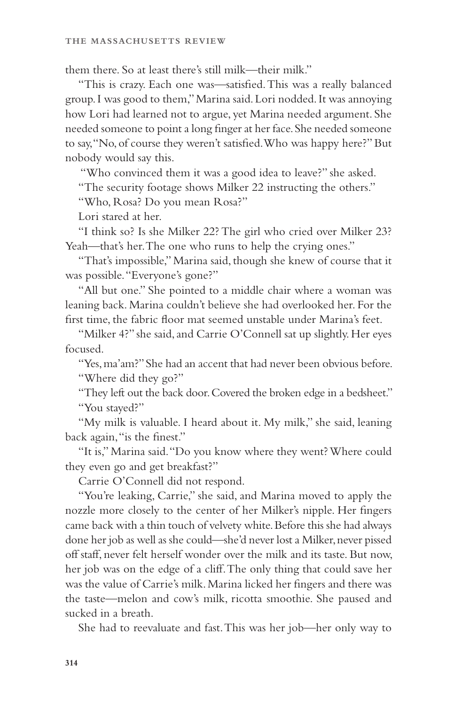them there. So at least there's still milk—their milk."

"This is crazy. Each one was—satisfied. This was a really balanced group. I was good to them," Marina said. Lori nodded. It was annoying how Lori had learned not to argue, yet Marina needed argument. She needed someone to point a long finger at her face. She needed someone to say, "No, of course they weren't satisfied. Who was happy here?" But nobody would say this.

"Who convinced them it was a good idea to leave?" she asked.

"The security footage shows Milker 22 instructing the others."

"Who, Rosa? Do you mean Rosa?"

Lori stared at her.

"I think so? Is she Milker 22? The girl who cried over Milker 23? Yeah—that's her. The one who runs to help the crying ones."

"That's impossible," Marina said, though she knew of course that it was possible. "Everyone's gone?"

"All but one." She pointed to a middle chair where a woman was leaning back. Marina couldn't believe she had overlooked her. For the first time, the fabric floor mat seemed unstable under Marina's feet.

"Milker 4?" she said, and Carrie O'Connell sat up slightly. Her eyes focused.

"Yes, ma'am?" She had an accent that had never been obvious before. "Where did they go?"

"They left out the back door. Covered the broken edge in a bedsheet." "You stayed?"

"My milk is valuable. I heard about it. My milk," she said, leaning back again, "is the finest."

"It is," Marina said. "Do you know where they went? Where could they even go and get breakfast?"

Carrie O'Connell did not respond.

"You're leaking, Carrie," she said, and Marina moved to apply the nozzle more closely to the center of her Milker's nipple. Her fingers came back with a thin touch of velvety white. Before this she had always done her job as well as she could—she'd never lost a Milker, never pissed off staff, never felt herself wonder over the milk and its taste. But now, her job was on the edge of a cliff. The only thing that could save her was the value of Carrie's milk. Marina licked her fingers and there was the taste—melon and cow's milk, ricotta smoothie. She paused and sucked in a breath.

She had to reevaluate and fast. This was her job—her only way to